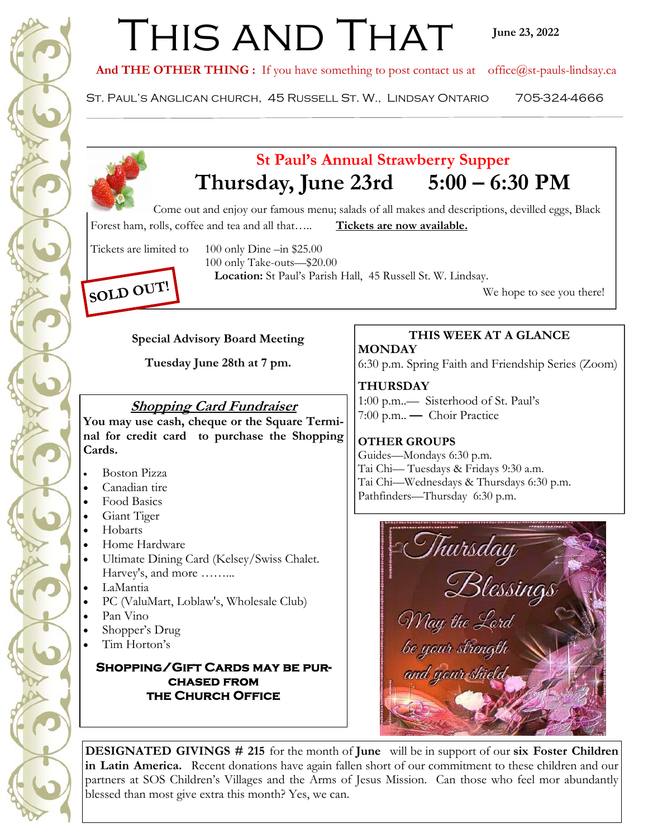# THIS AND THAT

And THE OTHER THING : If you have something to post contact us at office@st-pauls-lindsay.ca

St. Paul's Anglican church, 45 Russell St. W., Lindsay Ontario 705-324-4666



# **St Paul's Annual Strawberry Supper Thursday, June 23rd 5:00 – 6:30 PM**

Come out and enjoy our famous menu; salads of all makes and descriptions, devilled eggs, Black Forest ham, rolls, coffee and tea and all that..... **Tickets are now available.** 

Tickets are limited to 100 only Dine –in \$25.00

100 only Take-outs—\$20.00

**Location:** St Paul's Parish Hall, 45 Russell St. W. Lindsay.  $\text{SOLD}$   $\text{OU1!}$  We hope to see you there!

#### **Special Advisory Board Meeting**

**Tuesday June 28th at 7 pm.** 

## **Shopping Card Fundraiser**

**You may use cash, cheque or the Square Terminal for credit card to purchase the Shopping Cards.** 

- Boston Pizza
- Canadian tire
- Food Basics
- Giant Tiger
- Hobarts
- Home Hardware
- Ultimate Dining Card (Kelsey/Swiss Chalet. Harvey's, and more ……...
- LaMantia
- PC (ValuMart, Loblaw's, Wholesale Club)
- Pan Vino
- Shopper's Drug
- Tim Horton's

#### **Shopping/Gift Cards may be purchased from the Church Office**

## **THIS WEEK AT A GLANCE**

**MONDAY**  6:30 p.m. Spring Faith and Friendship Series (Zoom)

**THURSDAY**  1:00 p.m..— Sisterhood of St. Paul's 7:00 p.m.. **—** Choir Practice

### **OTHER GROUPS**

Guides—Mondays 6:30 p.m. Tai Chi— Tuesdays & Fridays 9:30 a.m. Tai Chi—Wednesdays & Thursdays 6:30 p.m. Pathfinders—Thursday 6:30 p.m.



**DESIGNATED GIVINGS # 215** for the month of **June** will be in support of our **six Foster Children in Latin America.** Recent donations have again fallen short of our commitment to these children and our partners at SOS Children's Villages and the Arms of Jesus Mission. Can those who feel mor abundantly blessed than most give extra this month? Yes, we can.